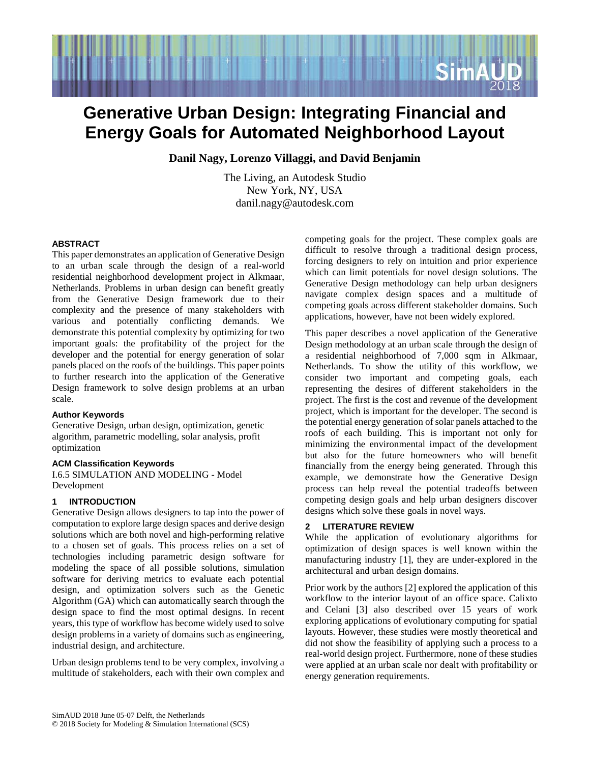

# **Generative Urban Design: Integrating Financial and Energy Goals for Automated Neighborhood Layout**

**Danil Nagy, Lorenzo Villaggi, and David Benjamin**

The Living, an Autodesk Studio New York, NY, USA danil.nagy@autodesk.com

# **ABSTRACT**

This paper demonstrates an application of Generative Design to an urban scale through the design of a real-world residential neighborhood development project in Alkmaar, Netherlands. Problems in urban design can benefit greatly from the Generative Design framework due to their complexity and the presence of many stakeholders with various and potentially conflicting demands. We demonstrate this potential complexity by optimizing for two important goals: the profitability of the project for the developer and the potential for energy generation of solar panels placed on the roofs of the buildings. This paper points to further research into the application of the Generative Design framework to solve design problems at an urban scale.

# **Author Keywords**

Generative Design, urban design, optimization, genetic algorithm, parametric modelling, solar analysis, profit optimization

# **ACM Classification Keywords**

I.6.5 SIMULATION AND MODELING - Model Development

# **1 INTRODUCTION**

Generative Design allows designers to tap into the power of computation to explore large design spaces and derive design solutions which are both novel and high-performing relative to a chosen set of goals. This process relies on a set of technologies including parametric design software for modeling the space of all possible solutions, simulation software for deriving metrics to evaluate each potential design, and optimization solvers such as the Genetic Algorithm (GA) which can automatically search through the design space to find the most optimal designs. In recent years, this type of workflow has become widely used to solve design problems in a variety of domains such as engineering, industrial design, and architecture.

Urban design problems tend to be very complex, involving a multitude of stakeholders, each with their own complex and competing goals for the project. These complex goals are difficult to resolve through a traditional design process, forcing designers to rely on intuition and prior experience which can limit potentials for novel design solutions. The Generative Design methodology can help urban designers navigate complex design spaces and a multitude of competing goals across different stakeholder domains. Such applications, however, have not been widely explored.

This paper describes a novel application of the Generative Design methodology at an urban scale through the design of a residential neighborhood of 7,000 sqm in Alkmaar, Netherlands. To show the utility of this workflow, we consider two important and competing goals, each representing the desires of different stakeholders in the project. The first is the cost and revenue of the development project, which is important for the developer. The second is the potential energy generation of solar panels attached to the roofs of each building. This is important not only for minimizing the environmental impact of the development but also for the future homeowners who will benefit financially from the energy being generated. Through this example, we demonstrate how the Generative Design process can help reveal the potential tradeoffs between competing design goals and help urban designers discover designs which solve these goals in novel ways.

# **2 LITERATURE REVIEW**

While the application of evolutionary algorithms for optimization of design spaces is well known within the manufacturing industry [1], they are under-explored in the architectural and urban design domains.

Prior work by the authors [2] explored the application of this workflow to the interior layout of an office space. Calixto and Celani [3] also described over 15 years of work exploring applications of evolutionary computing for spatial layouts. However, these studies were mostly theoretical and did not show the feasibility of applying such a process to a real-world design project. Furthermore, none of these studies were applied at an urban scale nor dealt with profitability or energy generation requirements.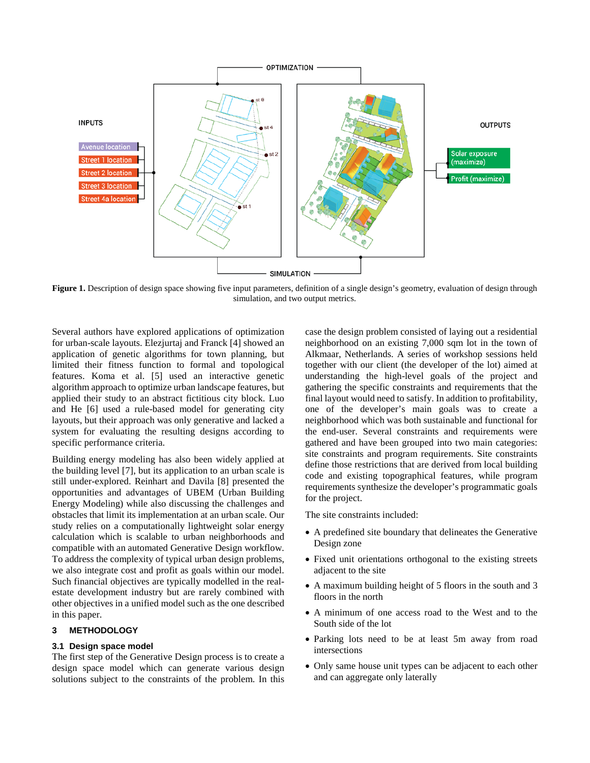

Figure 1. Description of design space showing five input parameters, definition of a single design's geometry, evaluation of design through simulation, and two output metrics.

Several authors have explored applications of optimization for urban-scale layouts. Elezjurtaj and Franck [4] showed an application of genetic algorithms for town planning, but limited their fitness function to formal and topological features. Koma et al. [5] used an interactive genetic algorithm approach to optimize urban landscape features, but applied their study to an abstract fictitious city block. Luo and He [6] used a rule-based model for generating city layouts, but their approach was only generative and lacked a system for evaluating the resulting designs according to specific performance criteria.

Building energy modeling has also been widely applied at the building level [7], but its application to an urban scale is still under-explored. Reinhart and Davila [8] presented the opportunities and advantages of UBEM (Urban Building Energy Modeling) while also discussing the challenges and obstacles that limit its implementation at an urban scale. Our study relies on a computationally lightweight solar energy calculation which is scalable to urban neighborhoods and compatible with an automated Generative Design workflow. To address the complexity of typical urban design problems, we also integrate cost and profit as goals within our model. Such financial objectives are typically modelled in the realestate development industry but are rarely combined with other objectives in a unified model such as the one described in this paper.

#### **3 METHODOLOGY**

# **3.1 Design space model**

The first step of the Generative Design process is to create a design space model which can generate various design solutions subject to the constraints of the problem. In this case the design problem consisted of laying out a residential neighborhood on an existing 7,000 sqm lot in the town of Alkmaar, Netherlands. A series of workshop sessions held together with our client (the developer of the lot) aimed at understanding the high-level goals of the project and gathering the specific constraints and requirements that the final layout would need to satisfy. In addition to profitability, one of the developer's main goals was to create a neighborhood which was both sustainable and functional for the end-user. Several constraints and requirements were gathered and have been grouped into two main categories: site constraints and program requirements. Site constraints define those restrictions that are derived from local building code and existing topographical features, while program requirements synthesize the developer's programmatic goals for the project.

The site constraints included:

- A predefined site boundary that delineates the Generative Design zone
- Fixed unit orientations orthogonal to the existing streets adjacent to the site
- A maximum building height of 5 floors in the south and 3 floors in the north
- A minimum of one access road to the West and to the South side of the lot
- Parking lots need to be at least 5m away from road intersections
- Only same house unit types can be adjacent to each other and can aggregate only laterally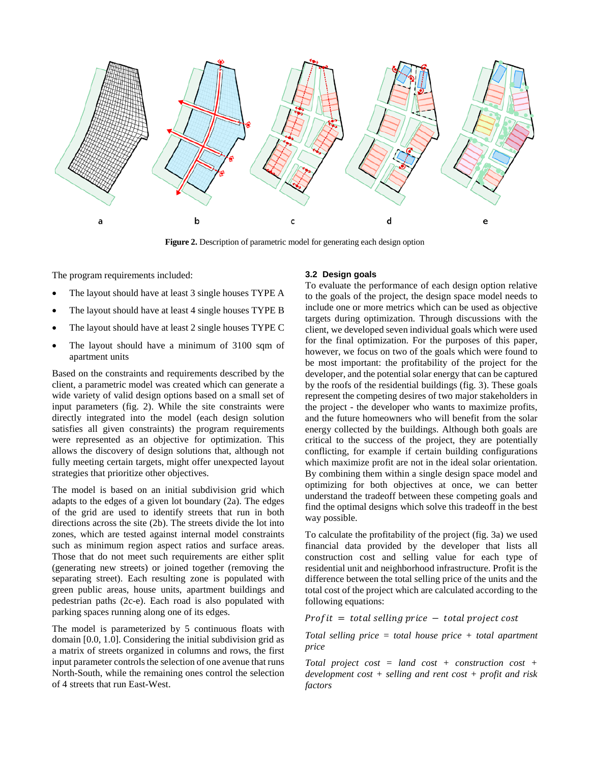

**Figure 2.** Description of parametric model for generating each design option

The program requirements included:

- The layout should have at least 3 single houses TYPE A
- The layout should have at least 4 single houses TYPE B
- The layout should have at least 2 single houses TYPE C
- The layout should have a minimum of 3100 sqm of apartment units

Based on the constraints and requirements described by the client, a parametric model was created which can generate a wide variety of valid design options based on a small set of input parameters (fig. 2). While the site constraints were directly integrated into the model (each design solution satisfies all given constraints) the program requirements were represented as an objective for optimization. This allows the discovery of design solutions that, although not fully meeting certain targets, might offer unexpected layout strategies that prioritize other objectives.

The model is based on an initial subdivision grid which adapts to the edges of a given lot boundary (2a). The edges of the grid are used to identify streets that run in both directions across the site (2b). The streets divide the lot into zones, which are tested against internal model constraints such as minimum region aspect ratios and surface areas. Those that do not meet such requirements are either split (generating new streets) or joined together (removing the separating street). Each resulting zone is populated with green public areas, house units, apartment buildings and pedestrian paths (2c-e). Each road is also populated with parking spaces running along one of its edges.

The model is parameterized by 5 continuous floats with domain [0.0, 1.0]. Considering the initial subdivision grid as a matrix of streets organized in columns and rows, the first input parameter controls the selection of one avenue that runs North-South, while the remaining ones control the selection of 4 streets that run East-West.

#### **3.2 Design goals**

To evaluate the performance of each design option relative to the goals of the project, the design space model needs to include one or more metrics which can be used as objective targets during optimization. Through discussions with the client, we developed seven individual goals which were used for the final optimization. For the purposes of this paper, however, we focus on two of the goals which were found to be most important: the profitability of the project for the developer, and the potential solar energy that can be captured by the roofs of the residential buildings (fig. 3). These goals represent the competing desires of two major stakeholders in the project - the developer who wants to maximize profits, and the future homeowners who will benefit from the solar energy collected by the buildings. Although both goals are critical to the success of the project, they are potentially conflicting, for example if certain building configurations which maximize profit are not in the ideal solar orientation. By combining them within a single design space model and optimizing for both objectives at once, we can better understand the tradeoff between these competing goals and find the optimal designs which solve this tradeoff in the best way possible.

To calculate the profitability of the project (fig. 3a) we used financial data provided by the developer that lists all construction cost and selling value for each type of residential unit and neighborhood infrastructure. Profit is the difference between the total selling price of the units and the total cost of the project which are calculated according to the following equations:

 $Profit = total selling price - total project cost$ 

*Total selling price = total house price + total apartment price*

*Total project cost = land cost + construction cost + development cost + selling and rent cost + profit and risk factors*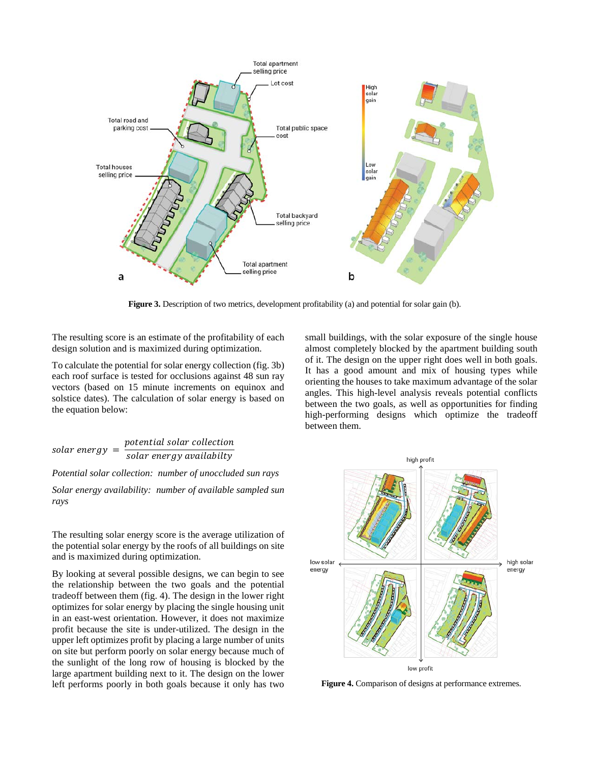

**Figure 3.** Description of two metrics, development profitability (a) and potential for solar gain (b).

The resulting score is an estimate of the profitability of each design solution and is maximized during optimization.

To calculate the potential for solar energy collection (fig. 3b) each roof surface is tested for occlusions against 48 sun ray vectors (based on 15 minute increments on equinox and solstice dates). The calculation of solar energy is based on the equation below:

<sup>=</sup>

*Potential solar collection: number of unoccluded sun rays* 

*Solar energy availability: number of available sampled sun rays* 

The resulting solar energy score is the average utilization of the potential solar energy by the roofs of all buildings on site and is maximized during optimization.

By looking at several possible designs, we can begin to see the relationship between the two goals and the potential tradeoff between them (fig. 4). The design in the lower right optimizes for solar energy by placing the single housing unit in an east-west orientation. However, it does not maximize profit because the site is under-utilized. The design in the upper left optimizes profit by placing a large number of units on site but perform poorly on solar energy because much of the sunlight of the long row of housing is blocked by the large apartment building next to it. The design on the lower left performs poorly in both goals because it only has two small buildings, with the solar exposure of the single house almost completely blocked by the apartment building south of it. The design on the upper right does well in both goals. It has a good amount and mix of housing types while orienting the houses to take maximum advantage of the solar angles. This high-level analysis reveals potential conflicts between the two goals, as well as opportunities for finding high-performing designs which optimize the tradeoff between them.



**Figure 4.** Comparison of designs at performance extremes.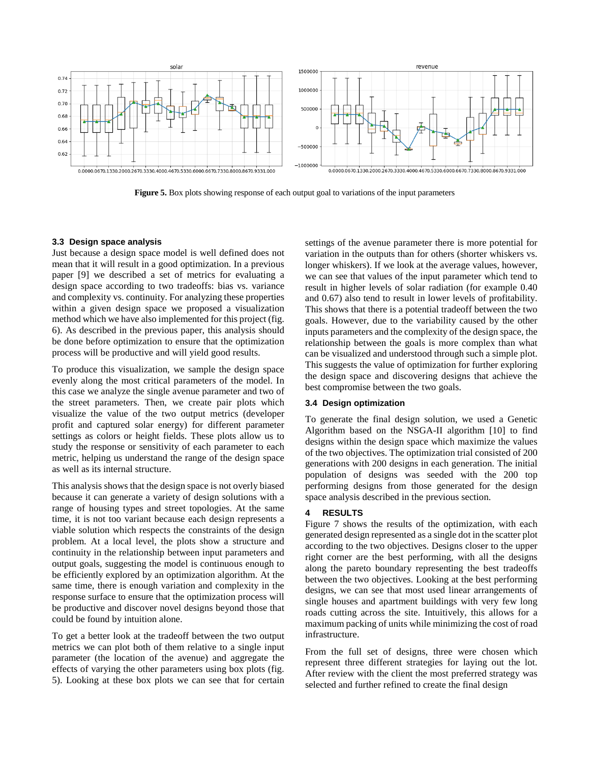

**Figure 5.** Box plots showing response of each output goal to variations of the input parameters

#### **3.3 Design space analysis**

Just because a design space model is well defined does not mean that it will result in a good optimization. In a previous paper [9] we described a set of metrics for evaluating a design space according to two tradeoffs: bias vs. variance and complexity vs. continuity. For analyzing these properties within a given design space we proposed a visualization method which we have also implemented for this project (fig. 6). As described in the previous paper, this analysis should be done before optimization to ensure that the optimization process will be productive and will yield good results.

To produce this visualization, we sample the design space evenly along the most critical parameters of the model. In this case we analyze the single avenue parameter and two of the street parameters. Then, we create pair plots which visualize the value of the two output metrics (developer profit and captured solar energy) for different parameter settings as colors or height fields. These plots allow us to study the response or sensitivity of each parameter to each metric, helping us understand the range of the design space as well as its internal structure.

This analysis shows that the design space is not overly biased because it can generate a variety of design solutions with a range of housing types and street topologies. At the same time, it is not too variant because each design represents a viable solution which respects the constraints of the design problem. At a local level, the plots show a structure and continuity in the relationship between input parameters and output goals, suggesting the model is continuous enough to be efficiently explored by an optimization algorithm. At the same time, there is enough variation and complexity in the response surface to ensure that the optimization process will be productive and discover novel designs beyond those that could be found by intuition alone.

To get a better look at the tradeoff between the two output metrics we can plot both of them relative to a single input parameter (the location of the avenue) and aggregate the effects of varying the other parameters using box plots (fig. 5). Looking at these box plots we can see that for certain settings of the avenue parameter there is more potential for variation in the outputs than for others (shorter whiskers vs. longer whiskers). If we look at the average values, however, we can see that values of the input parameter which tend to result in higher levels of solar radiation (for example 0.40 and 0.67) also tend to result in lower levels of profitability. This shows that there is a potential tradeoff between the two goals. However, due to the variability caused by the other inputs parameters and the complexity of the design space, the relationship between the goals is more complex than what can be visualized and understood through such a simple plot. This suggests the value of optimization for further exploring the design space and discovering designs that achieve the best compromise between the two goals.

# **3.4 Design optimization**

To generate the final design solution, we used a Genetic Algorithm based on the NSGA-II algorithm [10] to find designs within the design space which maximize the values of the two objectives. The optimization trial consisted of 200 generations with 200 designs in each generation. The initial population of designs was seeded with the 200 top performing designs from those generated for the design space analysis described in the previous section.

#### **4 RESULTS**

Figure 7 shows the results of the optimization, with each generated design represented as a single dot in the scatter plot according to the two objectives. Designs closer to the upper right corner are the best performing, with all the designs along the pareto boundary representing the best tradeoffs between the two objectives. Looking at the best performing designs, we can see that most used linear arrangements of single houses and apartment buildings with very few long roads cutting across the site. Intuitively, this allows for a maximum packing of units while minimizing the cost of road infrastructure.

From the full set of designs, three were chosen which represent three different strategies for laying out the lot. After review with the client the most preferred strategy was selected and further refined to create the final design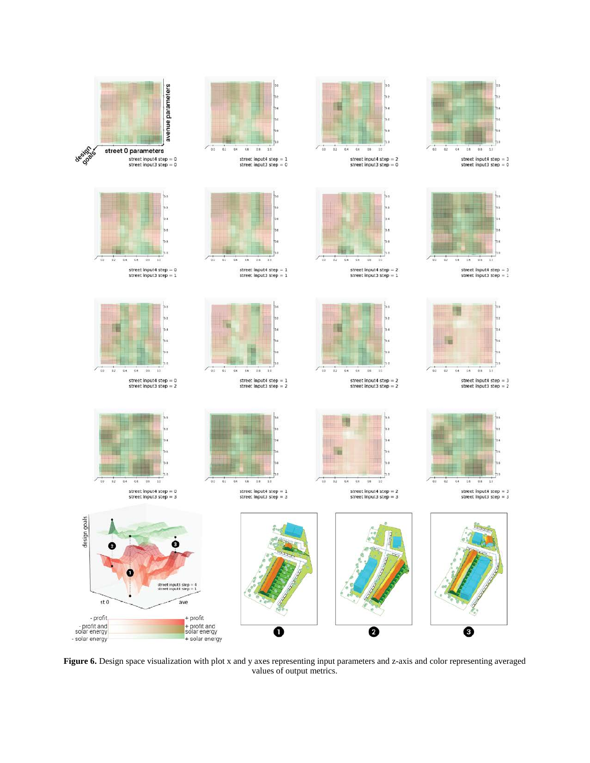

**Figure 6.** Design space visualization with plot x and y axes representing input parameters and z-axis and color representing averaged values of output metrics.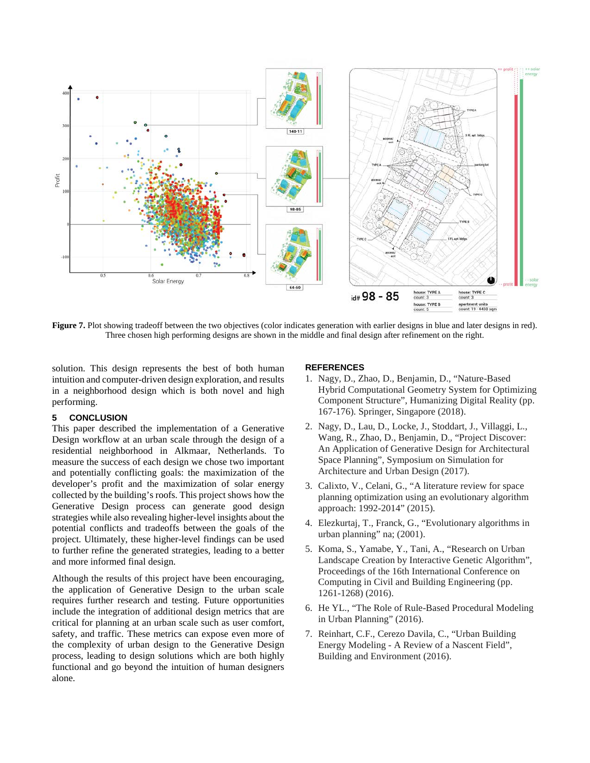

**Figure 7.** Plot showing tradeoff between the two objectives (color indicates generation with earlier designs in blue and later designs in red). Three chosen high performing designs are shown in the middle and final design after refinement on the right.

solution. This design represents the best of both human intuition and computer-driven design exploration, and results in a neighborhood design which is both novel and high performing.

#### **5 CONCLUSION**

This paper described the implementation of a Generative Design workflow at an urban scale through the design of a residential neighborhood in Alkmaar, Netherlands. To measure the success of each design we chose two important and potentially conflicting goals: the maximization of the developer's profit and the maximization of solar energy collected by the building's roofs. This project shows how the Generative Design process can generate good design strategies while also revealing higher-level insights about the potential conflicts and tradeoffs between the goals of the project. Ultimately, these higher-level findings can be used to further refine the generated strategies, leading to a better and more informed final design.

Although the results of this project have been encouraging, the application of Generative Design to the urban scale requires further research and testing. Future opportunities include the integration of additional design metrics that are critical for planning at an urban scale such as user comfort, safety, and traffic. These metrics can expose even more of the complexity of urban design to the Generative Design process, leading to design solutions which are both highly functional and go beyond the intuition of human designers alone.

#### **REFERENCES**

- 1. Nagy, D., Zhao, D., Benjamin, D., "Nature-Based Hybrid Computational Geometry System for Optimizing Component Structure", Humanizing Digital Reality (pp. 167-176). Springer, Singapore (2018).
- 2. Nagy, D., Lau, D., Locke, J., Stoddart, J., Villaggi, L., Wang, R., Zhao, D., Benjamin, D., "Project Discover: An Application of Generative Design for Architectural Space Planning", Symposium on Simulation for Architecture and Urban Design (2017).
- 3. Calixto, V., Celani, G., "A literature review for space planning optimization using an evolutionary algorithm approach: 1992-2014" (2015).
- 4. Elezkurtaj, T., Franck, G., "Evolutionary algorithms in urban planning" na; (2001).
- 5. Koma, S., Yamabe, Y., Tani, A., "Research on Urban Landscape Creation by Interactive Genetic Algorithm", Proceedings of the 16th International Conference on Computing in Civil and Building Engineering (pp. 1261-1268) (2016).
- 6. He YL., "The Role of Rule-Based Procedural Modeling in Urban Planning" (2016).
- 7. Reinhart, C.F., Cerezo Davila, C., "Urban Building Energy Modeling - A Review of a Nascent Field", Building and Environment (2016).